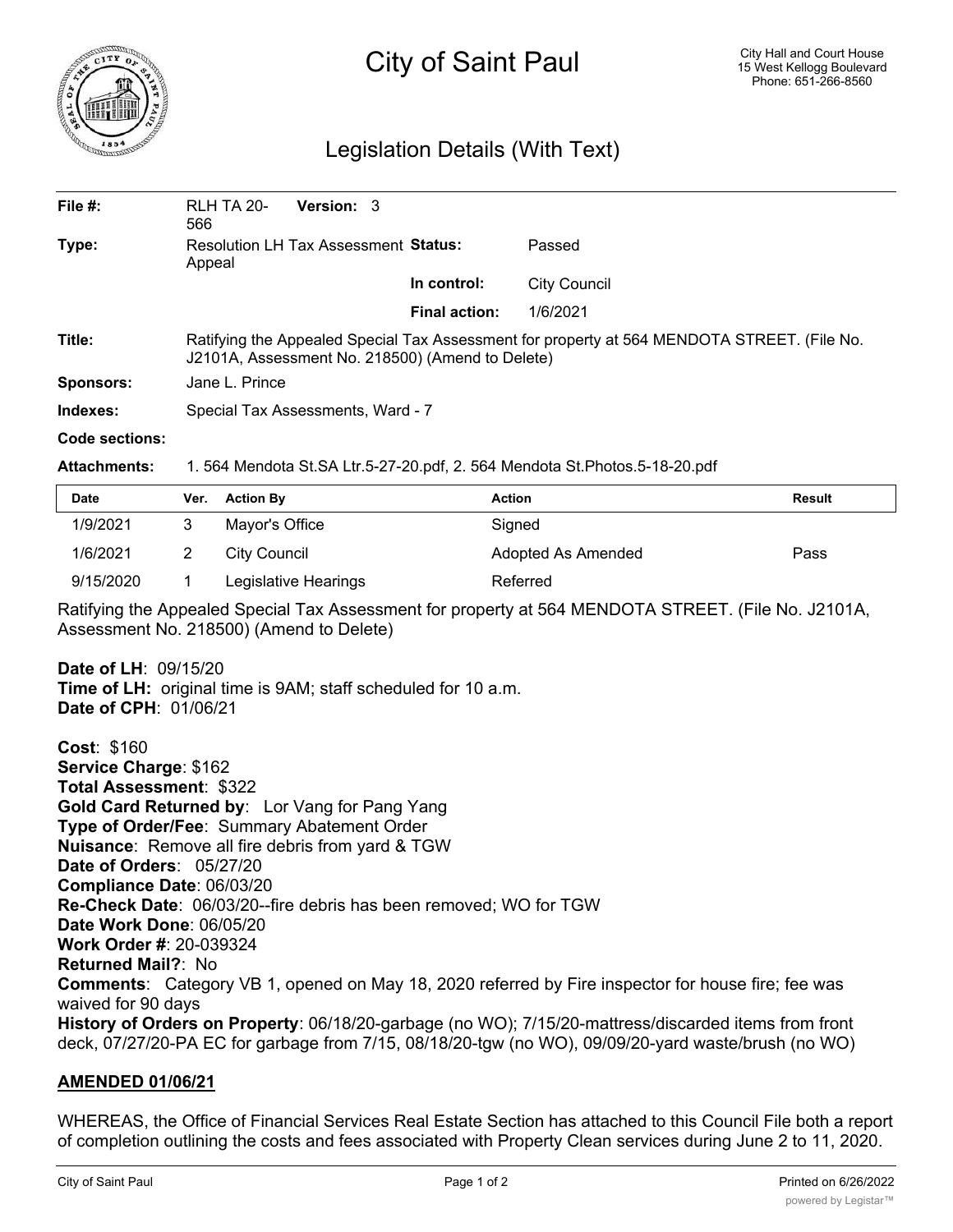

# City of Saint Paul

## Legislation Details (With Text)

| File $#$ :       | <b>Version: 3</b><br><b>RLH TA 20-</b><br>566                                                                                                   |                      |                     |  |  |
|------------------|-------------------------------------------------------------------------------------------------------------------------------------------------|----------------------|---------------------|--|--|
| Type:            | <b>Resolution LH Tax Assessment Status:</b><br>Appeal                                                                                           |                      | Passed              |  |  |
|                  |                                                                                                                                                 | In control:          | <b>City Council</b> |  |  |
|                  |                                                                                                                                                 | <b>Final action:</b> | 1/6/2021            |  |  |
| Title:           | Ratifying the Appealed Special Tax Assessment for property at 564 MENDOTA STREET. (File No.<br>J2101A, Assessment No. 218500) (Amend to Delete) |                      |                     |  |  |
| <b>Sponsors:</b> | Jane L. Prince                                                                                                                                  |                      |                     |  |  |
| Indexes:         | Special Tax Assessments, Ward - 7                                                                                                               |                      |                     |  |  |

#### **Code sections:**

**Attachments:** 1. 564 Mendota St.SA Ltr.5-27-20.pdf, 2. 564 Mendota St.Photos.5-18-20.pdf

| Date      | Ver. | <b>Action By</b>     | Action             | <b>Result</b> |
|-----------|------|----------------------|--------------------|---------------|
| 1/9/2021  |      | Mayor's Office       | Signed             |               |
| 1/6/2021  |      | City Council         | Adopted As Amended | Pass          |
| 9/15/2020 |      | Legislative Hearings | Referred           |               |

Ratifying the Appealed Special Tax Assessment for property at 564 MENDOTA STREET. (File No. J2101A, Assessment No. 218500) (Amend to Delete)

**Date of LH**: 09/15/20 **Time of LH:** original time is 9AM; staff scheduled for 10 a.m. **Date of CPH**: 01/06/21

**Cost**: \$160 **Service Charge**: \$162 **Total Assessment**: \$322 **Gold Card Returned by**: Lor Vang for Pang Yang **Type of Order/Fee**: Summary Abatement Order **Nuisance**: Remove all fire debris from yard & TGW **Date of Orders**: 05/27/20 **Compliance Date**: 06/03/20 **Re-Check Date**: 06/03/20--fire debris has been removed; WO for TGW **Date Work Done**: 06/05/20 **Work Order #**: 20-039324 **Returned Mail?**: No **Comments**: Category VB 1, opened on May 18, 2020 referred by Fire inspector for house fire; fee was waived for 90 days **History of Orders on Property**: 06/18/20-garbage (no WO); 7/15/20-mattress/discarded items from front deck, 07/27/20-PA EC for garbage from 7/15, 08/18/20-tgw (no WO), 09/09/20-yard waste/brush (no WO)

### **AMENDED 01/06/21**

WHEREAS, the Office of Financial Services Real Estate Section has attached to this Council File both a report of completion outlining the costs and fees associated with Property Clean services during June 2 to 11, 2020.